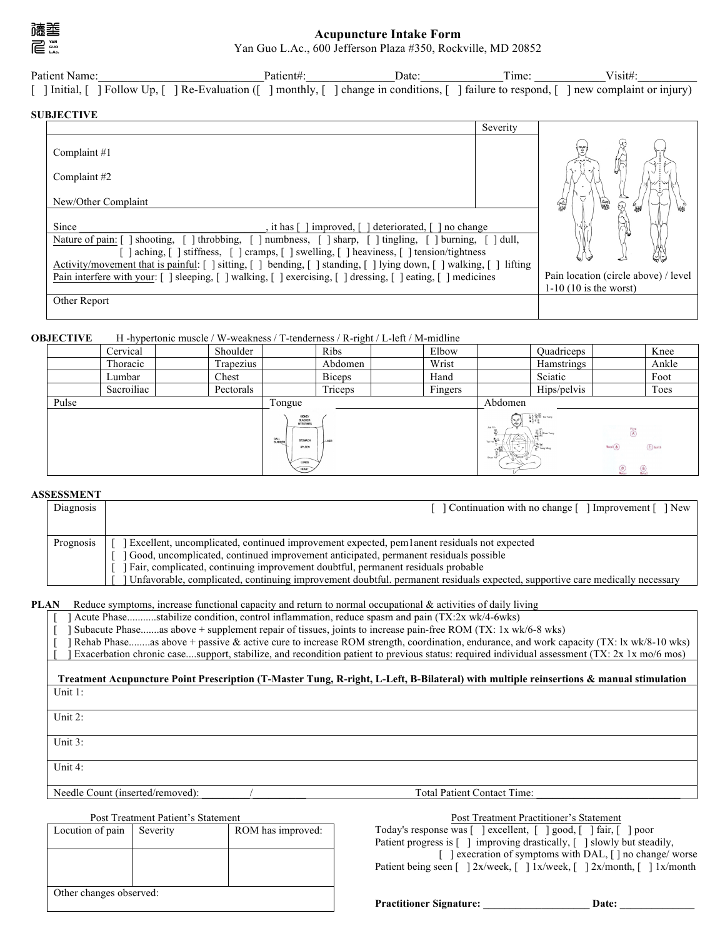

## **Acupuncture Intake Form** Yan Guo L.Ac., 600 Jefferson Plaza #350, Rockville, MD 20852

| Patient Name:                                                                                                                              | Patient#: | Date | Time: | Visit#: |
|--------------------------------------------------------------------------------------------------------------------------------------------|-----------|------|-------|---------|
| [ ] Initial, [ ] Follow Up, [ ] Re-Evaluation ([ ] monthly, [ ] change in conditions, [ ] failure to respond, [ ] new complaint or injury) |           |      |       |         |

### **SUBJECTIVE**

|                                                                                                                                                                                                                                                                                                                                                                                                                                                                                                           | Severity |                                             |
|-----------------------------------------------------------------------------------------------------------------------------------------------------------------------------------------------------------------------------------------------------------------------------------------------------------------------------------------------------------------------------------------------------------------------------------------------------------------------------------------------------------|----------|---------------------------------------------|
| Complaint $#1$                                                                                                                                                                                                                                                                                                                                                                                                                                                                                            |          | ₹∙ډ                                         |
| Complaint #2                                                                                                                                                                                                                                                                                                                                                                                                                                                                                              |          |                                             |
| New/Other Complaint                                                                                                                                                                                                                                                                                                                                                                                                                                                                                       |          | 偏<br>曙<br>₩                                 |
| Since<br>deteriorated, [<br>improved, [<br>no change<br>it has I<br>shooting, [ ] throbbing, [ ] numbness, [ ] sharp, [ ] tingling, [ ] burning, [<br>Nature of pain: [<br>] aching, [ ] stiffness, [ ] cramps, [ ] swelling, [ ] heaviness, [ ] tension/tightness<br>Activity/movement that is painful: [ ] sitting, [ ] bending, [ ] standing, [ ] lying down, [ ] walking, [ ] lifting<br>Pain interfere with your: [ ] sleeping, [ ] walking, [ ] exercising, [ ] dressing, [ ] eating, [ ] medicines | dull,    | UN.<br>Pain location (circle above) / level |
|                                                                                                                                                                                                                                                                                                                                                                                                                                                                                                           |          | $1-10$ (10 is the worst)                    |
| Other Report                                                                                                                                                                                                                                                                                                                                                                                                                                                                                              |          |                                             |

## **OBJECTIVE** H -hypertonic muscle / W-weakness / T-tenderness / R-right / L-left / M-midline

| - - - - - - - - | Cervical   |  | $\ldots$ reported in the contract of $\ldots$ and $\ldots$ and $\ldots$ . The contract of $\ldots$ is a contract of $\ldots$<br>Shoulder |        | Ribs          | Elbow                                                                |                                                                                                                                                                                                                                                                                                                                                                                 | Quadriceps                                                                            |                   | Knee  |
|-----------------|------------|--|------------------------------------------------------------------------------------------------------------------------------------------|--------|---------------|----------------------------------------------------------------------|---------------------------------------------------------------------------------------------------------------------------------------------------------------------------------------------------------------------------------------------------------------------------------------------------------------------------------------------------------------------------------|---------------------------------------------------------------------------------------|-------------------|-------|
|                 | Thoracic   |  | Trapezius                                                                                                                                |        | Abdomen       | Wrist                                                                |                                                                                                                                                                                                                                                                                                                                                                                 | Hamstrings                                                                            |                   | Ankle |
|                 | Lumbar     |  | Chest                                                                                                                                    |        | <b>Biceps</b> | Hand                                                                 |                                                                                                                                                                                                                                                                                                                                                                                 | Sciatic                                                                               |                   | Foot  |
|                 | Sacroiliac |  | Pectorals                                                                                                                                |        | Triceps       | Fingers                                                              |                                                                                                                                                                                                                                                                                                                                                                                 | Hips/pelvis                                                                           |                   | Toes  |
| Pulse           |            |  |                                                                                                                                          | Tongue |               |                                                                      | Abdomen                                                                                                                                                                                                                                                                                                                                                                         |                                                                                       |                   |       |
|                 |            |  | KICINEY<br><b>BLADDER</b><br><b>INTESTINES</b><br>GALL<br>BLADDER<br><b>STOMACH</b><br>SPLEEN<br>LUNGS<br>HEART                          | -LIVER |               | (25)<br>Jue Yir<br>$T$ ai Yin $\mathbf{E}^{\frac{1}{n}}$<br>Stap Yin | $\begin{array}{l} \begin{array}{c} \Delta\,A\end{array}\begin{smallmatrix} \widehat{A} \\ \widehat{B} \end{smallmatrix} \begin{smallmatrix} \widehat{A} \\ \widehat{B} \end{smallmatrix} \end{array} \begin{array}{l} \widehat{A} \\ \widehat{B} \end{array} \begin{smallmatrix} \widehat{A} \\ \widehat{B} \end{smallmatrix} \end{array}$<br><b>R</b> & Shep Yang<br>Yang Ming | $N$ cod $(\mathcal{R})$<br>$\left(\frac{\partial f}{\partial x}\right)$<br>$\bigcirc$ | $\bigoplus$ Earth |       |

## **ASSESSMENT**

| Diagnosis | Continuation with no change [ ] Improvement [ ] New                                                                                                                                                                                                                                                                                                                                                    |
|-----------|--------------------------------------------------------------------------------------------------------------------------------------------------------------------------------------------------------------------------------------------------------------------------------------------------------------------------------------------------------------------------------------------------------|
|           |                                                                                                                                                                                                                                                                                                                                                                                                        |
| Prognosis | Excellent, uncomplicated, continued improvement expected, pem1anent residuals not expected<br>Good, uncomplicated, continued improvement anticipated, permanent residuals possible<br>Fair, complicated, continuing improvement doubtful, permanent residuals probable<br>Unfavorable, complicated, continuing improvement doubtful. permanent residuals expected, supportive care medically necessary |

#### **PLAN** Reduce symptoms, increase functional capacity and return to normal occupational & activities of daily living

|  | Acute Phasestabilize condition, control inflammation, reduce spasm and pain (TX:2x wk/4-6wks)                                         |
|--|---------------------------------------------------------------------------------------------------------------------------------------|
|  | Subacute Phaseas above + supplement repair of tissues, joints to increase pain-free ROM (TX: 1x wk/6-8 wks)                           |
|  | Rehab Phaseas above + passive & active cure to increase ROM strength, coordination, endurance, and work capacity (TX: 1x wk/8-10 wks) |

[ ] Exacerbation chronic case....support, stabilize, and recondition patient to previous status: required individual assessment (TX: 2x 1x mo/6 mos)

#### **Treatment Acupuncture Point Prescription (T-Master Tung, R-right, L-Left, B-Bilateral) with multiple reinsertions & manual stimulation** Unit 1:

Unit 2:

Unit 3:

Unit 4:

Needle Count (inserted/removed): \_\_\_\_\_\_\_\_\_/\_\_\_\_\_\_\_\_\_\_ Total Patient Contact Time: \_\_\_\_\_\_\_\_\_\_\_\_\_\_\_\_\_\_\_\_\_\_\_\_\_\_\_

| Post Treatment Patient's Statement |          |                   |                     |  |
|------------------------------------|----------|-------------------|---------------------|--|
| Locution of pain                   | Severity | ROM has improved: | Today's response v  |  |
|                                    |          |                   | Patient progress is |  |
|                                    |          |                   |                     |  |
|                                    |          |                   | Patient being seen  |  |
|                                    |          |                   |                     |  |
| Other changes observed:            |          |                   |                     |  |

## Post Treatment Practitioner's Statement  $was [$  ] excellent,  $[$  ] good,  $[$  ] fair,  $[$  ] poor [ ] improving drastically, [ ] slowly but steadily,

execration of symptoms with DAL, [ ] no change/ worse [  $] 2x/week, [-] 1x/week, [-] 2x/month, [-] 1x/month$ 

**Practitioner Signature: \_\_\_\_\_\_\_\_\_\_\_\_\_\_\_\_\_\_\_\_ Date: \_\_\_\_\_\_\_\_\_\_\_\_\_\_**